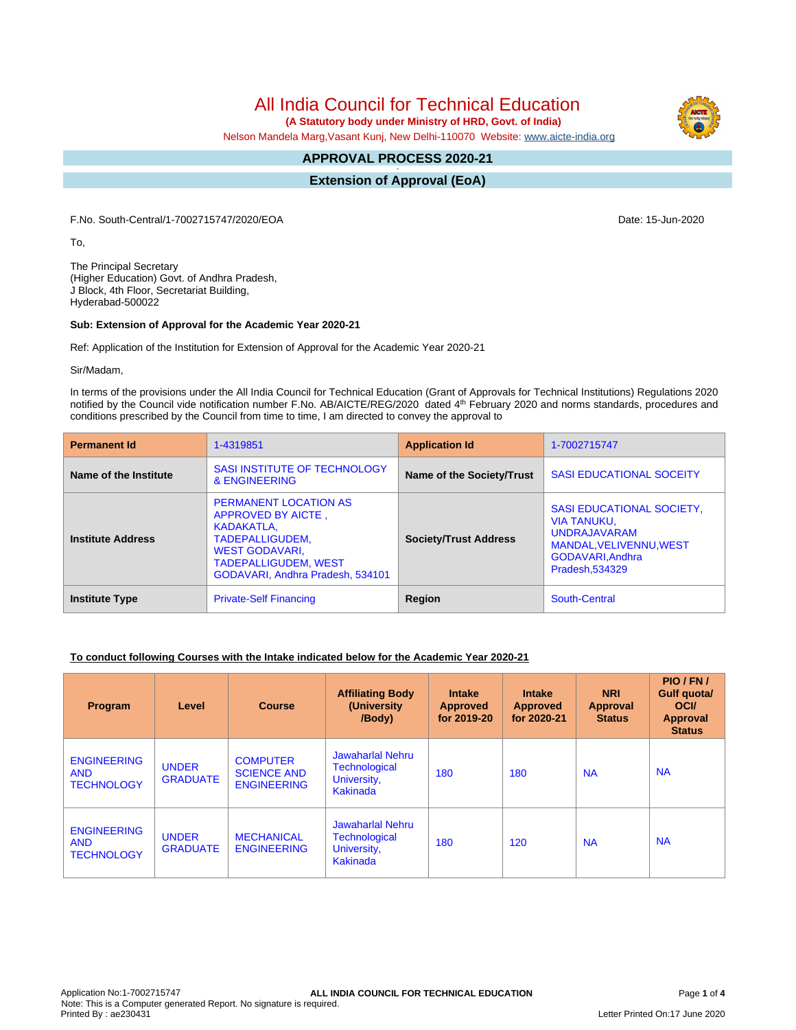# All India Council for Technical Education

 **(A Statutory body under Ministry of HRD, Govt. of India)**

Nelson Mandela Marg,Vasant Kunj, New Delhi-110070 Website: [www.aicte-india.org](http://www.aicte-india.org)

#### **APPROVAL PROCESS 2020-21 -**

**Extension of Approval (EoA)**

F.No. South-Central/1-7002715747/2020/EOA Date: 15-Jun-2020

To,

The Principal Secretary (Higher Education) Govt. of Andhra Pradesh, J Block, 4th Floor, Secretariat Building, Hyderabad-500022

#### **Sub: Extension of Approval for the Academic Year 2020-21**

Ref: Application of the Institution for Extension of Approval for the Academic Year 2020-21

Sir/Madam,

In terms of the provisions under the All India Council for Technical Education (Grant of Approvals for Technical Institutions) Regulations 2020 notified by the Council vide notification number F.No. AB/AICTE/REG/2020 dated 4<sup>th</sup> February 2020 and norms standards, procedures and conditions prescribed by the Council from time to time, I am directed to convey the approval to

| <b>Permanent Id</b>      | 1-4319851                                                                                                                                                                       | <b>Application Id</b>        | 1-7002715747                                                                                                                                   |  |
|--------------------------|---------------------------------------------------------------------------------------------------------------------------------------------------------------------------------|------------------------------|------------------------------------------------------------------------------------------------------------------------------------------------|--|
| Name of the Institute    | <b>SASI INSTITUTE OF TECHNOLOGY</b><br>& ENGINEERING                                                                                                                            | Name of the Society/Trust    | <b>SASI EDUCATIONAL SOCEITY</b>                                                                                                                |  |
| <b>Institute Address</b> | <b>PERMANENT LOCATION AS</b><br>APPROVED BY AICTE,<br>KADAKATLA.<br>TADEPALLIGUDEM,<br><b>WEST GODAVARI.</b><br><b>TADEPALLIGUDEM. WEST</b><br>GODAVARI, Andhra Pradesh, 534101 | <b>Society/Trust Address</b> | <b>SASI EDUCATIONAL SOCIETY,</b><br><b>VIA TANUKU.</b><br><b>UNDRAJAVARAM</b><br>MANDAL, VELIVENNU, WEST<br>GODAVARI, Andhra<br>Pradesh.534329 |  |
| <b>Institute Type</b>    | <b>Private-Self Financing</b>                                                                                                                                                   | Region                       | South-Central                                                                                                                                  |  |

#### **To conduct following Courses with the Intake indicated below for the Academic Year 2020-21**

| Program                                               | Level                           | <b>Course</b>                                               | <b>Affiliating Body</b><br>(University<br>/Body)                           | <b>Intake</b><br><b>Approved</b><br>for 2019-20 | <b>Intake</b><br><b>Approved</b><br>for 2020-21 | <b>NRI</b><br>Approval<br><b>Status</b> | PIO/FN/<br>Gulf quota/<br><b>OCI</b><br>Approval<br><b>Status</b> |
|-------------------------------------------------------|---------------------------------|-------------------------------------------------------------|----------------------------------------------------------------------------|-------------------------------------------------|-------------------------------------------------|-----------------------------------------|-------------------------------------------------------------------|
| <b>ENGINEERING</b><br><b>AND</b><br><b>TECHNOLOGY</b> | <b>UNDER</b><br><b>GRADUATE</b> | <b>COMPUTER</b><br><b>SCIENCE AND</b><br><b>ENGINEERING</b> | <b>Jawaharlal Nehru</b><br><b>Technological</b><br>University,<br>Kakinada | 180                                             | 180                                             | <b>NA</b>                               | <b>NA</b>                                                         |
| <b>ENGINEERING</b><br><b>AND</b><br><b>TECHNOLOGY</b> | <b>UNDER</b><br><b>GRADUATE</b> | <b>MECHANICAL</b><br><b>ENGINEERING</b>                     | <b>Jawaharlal Nehru</b><br><b>Technological</b><br>University,<br>Kakinada | 180                                             | 120                                             | <b>NA</b>                               | <b>NA</b>                                                         |



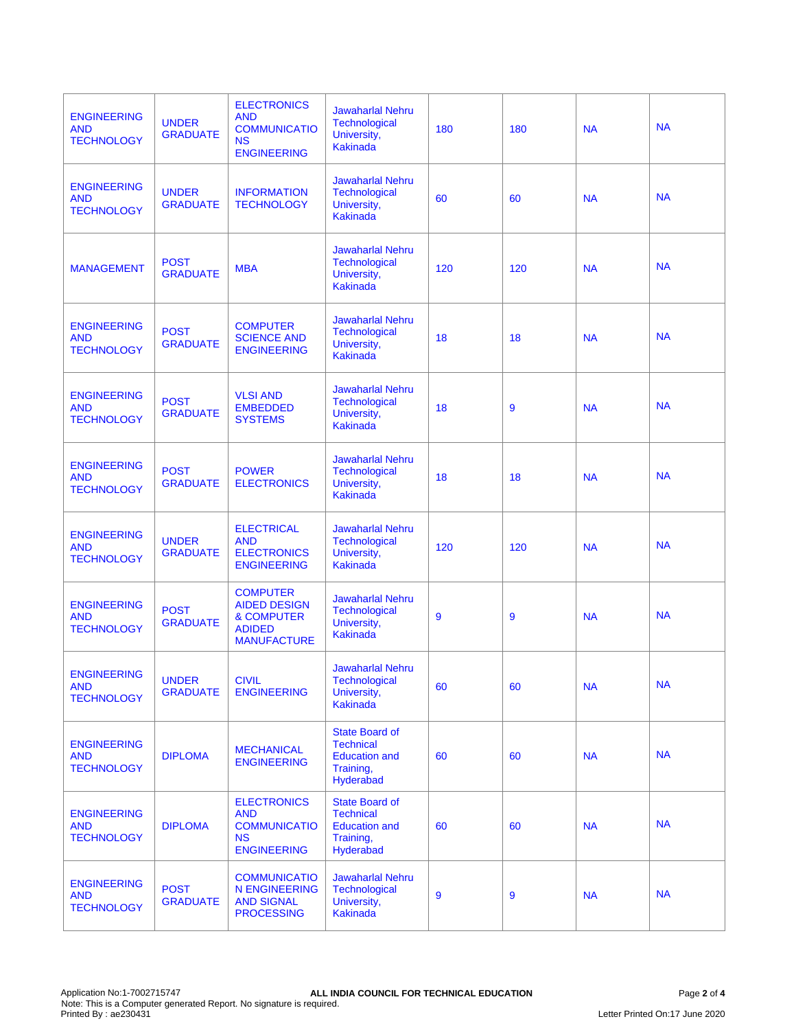| <b>ENGINEERING</b><br><b>AND</b><br><b>TECHNOLOGY</b> | <b>UNDER</b><br><b>GRADUATE</b> | <b>ELECTRONICS</b><br><b>AND</b><br><b>COMMUNICATIO</b><br><b>NS</b><br><b>ENGINEERING</b>             | <b>Jawaharlal Nehru</b><br><b>Technological</b><br>University,<br><b>Kakinada</b>           | 180 | 180 | <b>NA</b> | <b>NA</b> |
|-------------------------------------------------------|---------------------------------|--------------------------------------------------------------------------------------------------------|---------------------------------------------------------------------------------------------|-----|-----|-----------|-----------|
| <b>ENGINEERING</b><br><b>AND</b><br><b>TECHNOLOGY</b> | <b>UNDER</b><br><b>GRADUATE</b> | <b>INFORMATION</b><br><b>TECHNOLOGY</b>                                                                | <b>Jawaharlal Nehru</b><br><b>Technological</b><br>University,<br><b>Kakinada</b>           | 60  | 60  | <b>NA</b> | <b>NA</b> |
| <b>MANAGEMENT</b>                                     | <b>POST</b><br><b>GRADUATE</b>  | <b>MBA</b>                                                                                             | <b>Jawaharlal Nehru</b><br><b>Technological</b><br>University,<br><b>Kakinada</b>           | 120 | 120 | <b>NA</b> | <b>NA</b> |
| <b>ENGINEERING</b><br><b>AND</b><br><b>TECHNOLOGY</b> | <b>POST</b><br><b>GRADUATE</b>  | <b>COMPUTER</b><br><b>SCIENCE AND</b><br><b>ENGINEERING</b>                                            | <b>Jawaharlal Nehru</b><br><b>Technological</b><br>University,<br><b>Kakinada</b>           | 18  | 18  | <b>NA</b> | <b>NA</b> |
| <b>ENGINEERING</b><br><b>AND</b><br><b>TECHNOLOGY</b> | <b>POST</b><br><b>GRADUATE</b>  | <b>VLSI AND</b><br><b>EMBEDDED</b><br><b>SYSTEMS</b>                                                   | <b>Jawaharlal Nehru</b><br><b>Technological</b><br>University,<br><b>Kakinada</b>           | 18  | 9   | <b>NA</b> | <b>NA</b> |
| <b>ENGINEERING</b><br><b>AND</b><br><b>TECHNOLOGY</b> | <b>POST</b><br><b>GRADUATE</b>  | <b>POWER</b><br><b>ELECTRONICS</b>                                                                     | <b>Jawaharlal Nehru</b><br>Technological<br>University,<br><b>Kakinada</b>                  | 18  | 18  | <b>NA</b> | <b>NA</b> |
| <b>ENGINEERING</b><br><b>AND</b><br><b>TECHNOLOGY</b> | <b>UNDER</b><br><b>GRADUATE</b> | <b>ELECTRICAL</b><br><b>AND</b><br><b>ELECTRONICS</b><br><b>ENGINEERING</b>                            | <b>Jawaharlal Nehru</b><br><b>Technological</b><br>University,<br><b>Kakinada</b>           | 120 | 120 | <b>NA</b> | <b>NA</b> |
| <b>ENGINEERING</b><br><b>AND</b><br><b>TECHNOLOGY</b> | <b>POST</b><br><b>GRADUATE</b>  | <b>COMPUTER</b><br><b>AIDED DESIGN</b><br><b>&amp; COMPUTER</b><br><b>ADIDED</b><br><b>MANUFACTURE</b> | <b>Jawaharlal Nehru</b><br><b>Technological</b><br>University,<br>Kakinada                  | 9   | 9   | <b>NA</b> | <b>NA</b> |
| <b>ENGINEERING</b><br><b>AND</b><br><b>TECHNOLOGY</b> | <b>UNDER</b><br><b>GRADUATE</b> | <b>CIVIL</b><br><b>ENGINEERING</b>                                                                     | <b>Jawaharlal Nehru</b><br><b>Technological</b><br>University,<br>Kakinada                  | 60  | 60  | <b>NA</b> | <b>NA</b> |
| <b>ENGINEERING</b><br><b>AND</b><br><b>TECHNOLOGY</b> | <b>DIPLOMA</b>                  | <b>MECHANICAL</b><br><b>ENGINEERING</b>                                                                | <b>State Board of</b><br><b>Technical</b><br><b>Education and</b><br>Training,<br>Hyderabad | 60  | 60  | <b>NA</b> | <b>NA</b> |
| <b>ENGINEERING</b><br><b>AND</b><br><b>TECHNOLOGY</b> | <b>DIPLOMA</b>                  | <b>ELECTRONICS</b><br><b>AND</b><br><b>COMMUNICATIO</b><br><b>NS</b><br><b>ENGINEERING</b>             | <b>State Board of</b><br><b>Technical</b><br><b>Education and</b><br>Training,<br>Hyderabad | 60  | 60  | <b>NA</b> | <b>NA</b> |
| <b>ENGINEERING</b><br><b>AND</b><br><b>TECHNOLOGY</b> | <b>POST</b><br><b>GRADUATE</b>  | <b>COMMUNICATIO</b><br><b>N ENGINEERING</b><br><b>AND SIGNAL</b><br><b>PROCESSING</b>                  | <b>Jawaharlal Nehru</b><br><b>Technological</b><br>University,<br><b>Kakinada</b>           | 9   | 9   | <b>NA</b> | <b>NA</b> |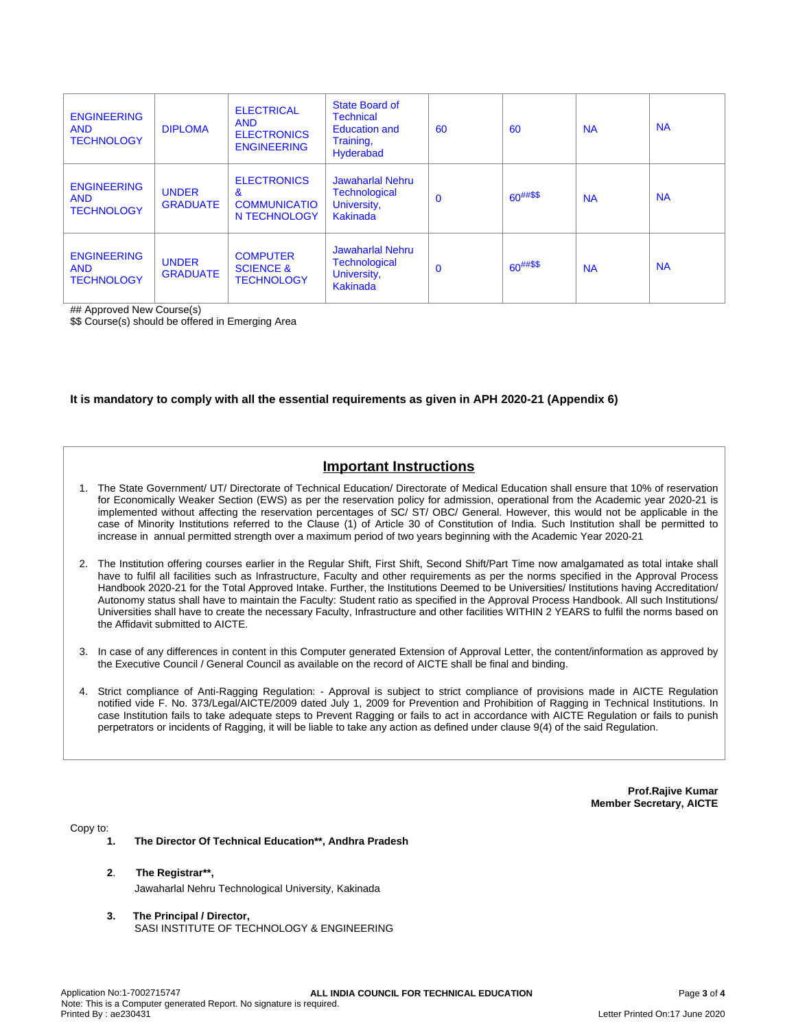| <b>ENGINEERING</b><br><b>AND</b><br><b>TECHNOLOGY</b> | <b>DIPLOMA</b>                  | <b>ELECTRICAL</b><br><b>AND</b><br><b>ELECTRONICS</b><br><b>ENGINEERING</b> | State Board of<br><b>Technical</b><br><b>Education and</b><br>Training,<br>Hyderabad | 60          | 60            | <b>NA</b> | <b>NA</b> |
|-------------------------------------------------------|---------------------------------|-----------------------------------------------------------------------------|--------------------------------------------------------------------------------------|-------------|---------------|-----------|-----------|
| <b>ENGINEERING</b><br><b>AND</b><br><b>TECHNOLOGY</b> | <b>UNDER</b><br><b>GRADUATE</b> | <b>ELECTRONICS</b><br>&<br><b>COMMUNICATIO</b><br>N TECHNOLOGY              | Jawaharlal Nehru<br><b>Technological</b><br>University,<br>Kakinada                  | $\Omega$    | $60^{##\$\$}$ | <b>NA</b> | <b>NA</b> |
| <b>ENGINEERING</b><br><b>AND</b><br><b>TECHNOLOGY</b> | <b>UNDER</b><br><b>GRADUATE</b> | <b>COMPUTER</b><br><b>SCIENCE &amp;</b><br><b>TECHNOLOGY</b>                | Jawaharlal Nehru<br><b>Technological</b><br>University,<br>Kakinada                  | $\mathbf 0$ | $60^{##\$\$}$ | <b>NA</b> | <b>NA</b> |

## Approved New Course(s)

\$\$ Course(s) should be offered in Emerging Area

#### **It is mandatory to comply with all the essential requirements as given in APH 2020-21 (Appendix 6)**

## **Important Instructions**

- 1. The State Government/ UT/ Directorate of Technical Education/ Directorate of Medical Education shall ensure that 10% of reservation for Economically Weaker Section (EWS) as per the reservation policy for admission, operational from the Academic year 2020-21 is implemented without affecting the reservation percentages of SC/ ST/ OBC/ General. However, this would not be applicable in the case of Minority Institutions referred to the Clause (1) of Article 30 of Constitution of India. Such Institution shall be permitted to increase in annual permitted strength over a maximum period of two years beginning with the Academic Year 2020-21
- 2. The Institution offering courses earlier in the Regular Shift, First Shift, Second Shift/Part Time now amalgamated as total intake shall have to fulfil all facilities such as Infrastructure, Faculty and other requirements as per the norms specified in the Approval Process Handbook 2020-21 for the Total Approved Intake. Further, the Institutions Deemed to be Universities/ Institutions having Accreditation/ Autonomy status shall have to maintain the Faculty: Student ratio as specified in the Approval Process Handbook. All such Institutions/ Universities shall have to create the necessary Faculty, Infrastructure and other facilities WITHIN 2 YEARS to fulfil the norms based on the Affidavit submitted to AICTE.
- 3. In case of any differences in content in this Computer generated Extension of Approval Letter, the content/information as approved by the Executive Council / General Council as available on the record of AICTE shall be final and binding.
- 4. Strict compliance of Anti-Ragging Regulation: Approval is subject to strict compliance of provisions made in AICTE Regulation notified vide F. No. 373/Legal/AICTE/2009 dated July 1, 2009 for Prevention and Prohibition of Ragging in Technical Institutions. In case Institution fails to take adequate steps to Prevent Ragging or fails to act in accordance with AICTE Regulation or fails to punish perpetrators or incidents of Ragging, it will be liable to take any action as defined under clause 9(4) of the said Regulation.

**Prof.Rajive Kumar Member Secretary, AICTE**

Copy to:

- **1. The Director Of Technical Education\*\*, Andhra Pradesh**
- **2**. **The Registrar\*\*,** Jawaharlal Nehru Technological University, Kakinada
- **3. The Principal / Director,** SASI INSTITUTE OF TECHNOLOGY & ENGINEERING